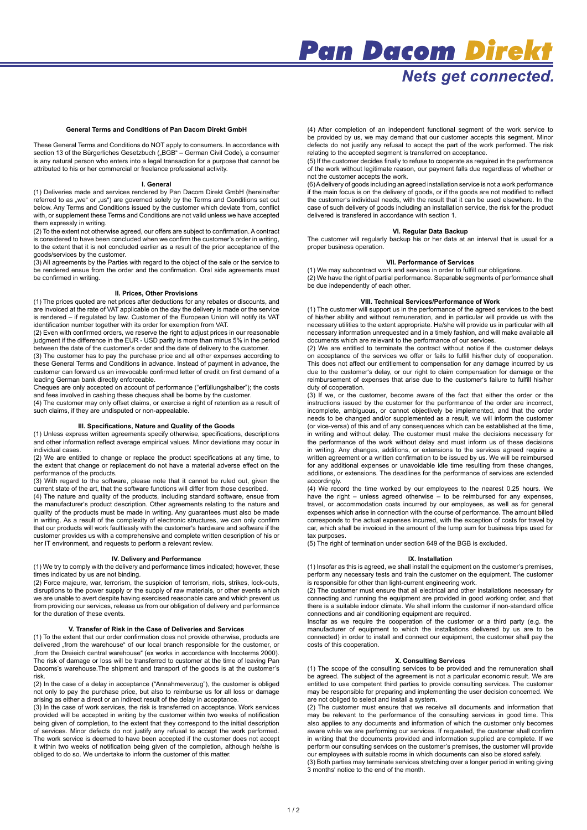# **Nets get connected.**

#### **General Terms and Conditions of Pan Dacom Direkt GmbH**

These General Terms and Conditions do NOT apply to consumers. In accordance with<br>section 13 of the Bürgerliches Gesetzbuch ("BGB" – German Civil Code), a consumer is any natural person who enters into a legal transaction for a purpose that cannot be attributed to his or her commercial or freelance professional activity.

### **I. General**

(1) Deliveries made and services rendered by Pan Dacom Direkt GmbH (hereinafter referred to as "we" or "us") are governed solely by the Terms and Conditions set out below. Any Terms and Conditions issued by the customer which deviate from, conflict with, or supplement these Terms and Conditions are not valid unless we have accepted them expressly in writing.

(2) To the extent not otherwise agreed, our offers are subject to confirmation. A contract is considered to have been concluded when we confirm the customer's order in writing, to the extent that it is not concluded earlier as a result of the prior acceptance of the goods/services by the customer.

(3) All agreements by the Parties with regard to the object of the sale or the service to be rendered ensue from the order and the confirmation. Oral side agreements must be confirmed in writing.

### **II. Prices, Other Provisions**

(1) The prices quoted are net prices after deductions for any rebates or discounts, and are invoiced at the rate of VAT applicable on the day the delivery is made or the service is rendered – if regulated by law. Customer of the European Union will notify its VAT

identification number together with its order for exemption from VAT. (2) Even with confirmed orders, we reserve the right to adjust prices in our reasonable judgment if the difference in the EUR - USD parity is more than minus 5% in the period between the date of the customer's order and the date of delivery to the customer.

(3) The customer has to pay the purchase price and all other expenses according to these General Terms and Conditions in advance. Instead of payment in advance, the customer can forward us an irrevocable confirmed letter of credit on first demand of a leading German bank directly enforceable.

Cheques are only accepted on account of performance ("erfüllungshalber"); the costs and fees involved in cashing these cheques shall be borne by the customer.

(4) The customer may only offset claims, or exercise a right of retention as a result of such claims, if they are undisputed or non-appealable.

# **III. Specifications, Nature and Quality of the Goods**

(1) Unless express written agreements specify otherwise, specifications, descriptions and other information reflect average empirical values. Minor deviations may occur in individual cases.

(2) We are entitled to change or replace the product specifications at any time, to the extent that change or replacement do not have a material adverse effect on the performance of the products.

(3) With regard to the software, please note that it cannot be ruled out, given the current state of the art, that the software functions will differ from those described.

(4) The nature and quality of the products, including standard software, ensue from the manufacturer's product description. Other agreements relating to the nature and quality of the products must be made in writing. Any guarantees must also be made in writing. As a result of the complexity of electronic structures, we can only confirm that our products will work faultlessly with the customer's hardware and software if the customer provides us with a comprehensive and complete written description of his or her IT environment, and requests to perform a relevant review.

### **IV. Delivery and Performance**

(1) We try to comply with the delivery and performance times indicated; however, these times indicated by us are not binding.

(2) Force majeure, war, terrorism, the suspicion of terrorism, riots, strikes, lock-outs, disruptions to the power supply or the supply of raw materials, or other events which we are unable to avert despite having exercised reasonable care and which prevent us from providing our services, release us from our obligation of delivery and performance for the duration of these events.

**V. Transfer of Risk in the Case of Deliveries and Services** (1) To the extent that our order confirmation does not provide otherwise, products are delivered "from the warehouse" of our local branch responsible for the customer, or "from the Dreieich central warehouse" (ex works in accordance with Incoterms 2000). The risk of damage or loss will be transferred to customer at the time of leaving Pan Dacoms's warehouse.The shipment and transport of the goods is at the customer's risk.

(2) In the case of a delay in acceptance ("Annahmeverzug"), the customer is obliged not only to pay the purchase price, but also to reimburse us for all loss or damage arising as either a direct or an indirect result of the delay in acceptance.

(3) In the case of work services, the risk is transferred on acceptance. Work services provided will be accepted in writing by the customer within two weeks of notification being given of completion, to the extent that they correspond to the initial description of services. Minor defects do not justify any refusal to accept the work performed. The work service is deemed to have been accepted if the customer does not accept it within two weeks of notification being given of the completion, although he/she is obliged to do so. We undertake to inform the customer of this matter.

(4) After completion of an independent functional segment of the work service to be provided by us, we may demand that our customer accepts this segment. Minor defects do not justify any refusal to accept the part of the work performed. The risk relating to the accepted segment is transferred on acceptance.

(5) If the customer decides finally to refuse to cooperate as required in the performance of the work without legitimate reason, our payment falls due regardless of whether or not the customer accepts the work.

(6) A delivery of goods including an agreed installation service is not a work performance if the main focus is on the delivery of goods, or if the goods are not modified to reflect the customer's individual needs, with the result that it can be used elsewhere. In the case of such delivery of goods including an installation service, the risk for the product delivered is transfered in accordance with section 1.

# **VI. Regular Data Backup**

The customer will regularly backup his or her data at an interval that is usual for a proper business operation.

### **VII. Performance of Services**

(1) We may subcontract work and services in order to fulfill our obligations.  $(2)$  We have the right of partial performance. Separable segments of performance shall be due independently of each other.

# **VIII. Technical Services/Performance of Work**

(1) The customer will support us in the performance of the agreed services to the best of his/her ability and without remuneration, and in particular will provide us with the necessary utilities to the extent appropriate. He/she will provide us in particular with all necessary information unrequested and in a timely fashion, and will make available all documents which are relevant to the performance of our services.

(2) We are entitled to terminate the contract without notice if the customer delays on acceptance of the services we offer or fails to fulfill his/her duty of cooperation. This does not affect our entitlement to compensation for any damage incurred by us due to the customer's delay, or our right to claim compensation for damage or the reimbursement of expenses that arise due to the customer's failure to fulfill his/her duty of cooperation.

(3) If we, or the customer, become aware of the fact that either the order or the instructions issued by the customer for the performance of the order are incorrect, incomplete, ambiguous, or cannot objectively be implemented, and that the order needs to be changed and/or supplemented as a result, we will inform the customer (or vice-versa) of this and of any consequences which can be established at the time, in writing and without delay. The customer must make the decisions necessary for the performance of the work without delay and must inform us of these decisions in writing. Any changes, additions, or extensions to the services agreed require a written agreement or a written confirmation to be issued by us. We will be reimbursed for any additional expenses or unavoidable idle time resulting from these changes, additions, or extensions. The deadlines for the performance of services are extended accordingly.

(4) We record the time worked by our employees to the nearest 0.25 hours. We have the right – unless agreed otherwise – to be reimbursed for any expenses, travel, or accommodation costs incurred by our employees, as well as for general expenses which arise in connection with the course of performance. The amount billed corresponds to the actual expenses incurred, with the exception of costs for travel by car, which shall be invoiced in the amount of the lump sum for business trips used for tax purposes

(5) The right of termination under section 649 of the BGB is excluded.

# **IX. Installation**

(1) Insofar as this is agreed, we shall install the equipment on the customer's premises, perform any necessary tests and train the customer on the equipment. The customer is responsible for other than light-current engineering work.

(2) The customer must ensure that all electrical and other installations necessary for connecting and running the equipment are provided in good working order, and that there is a suitable indoor climate. We shall inform the customer if non-standard office connections and air conditioning equipment are required.

Insofar as we require the cooperation of the customer or a third party (e.g. the manufacturer of equipment to which the installations delivered by us are to be connected) in order to install and connect our equipment, the customer shall pay the costs of this cooperation.

### **X. Consulting Services**

(1) The scope of the consulting services to be provided and the remuneration shall be agreed. The subject of the agreement is not a particular economic result. We are entitled to use competent third parties to provide consulting services. The customer may be responsible for preparing and implementing the user decision concerned. We are not obliged to select and install a system.

(2) The customer must ensure that we receive all documents and information that may be relevant to the performance of the consulting services in good time. This also applies to any documents and information of which the customer only becomes aware while we are performing our services. If requested, the customer shall confirm in writing that the documents provided and information supplied are complete. If we perform our consulting services on the customer's premises, the customer will provide our employees with suitable rooms in which documents can also be stored safely.

(3) Both parties may terminate services stretching over a longer period in writing giving 3 months' notice to the end of the month.